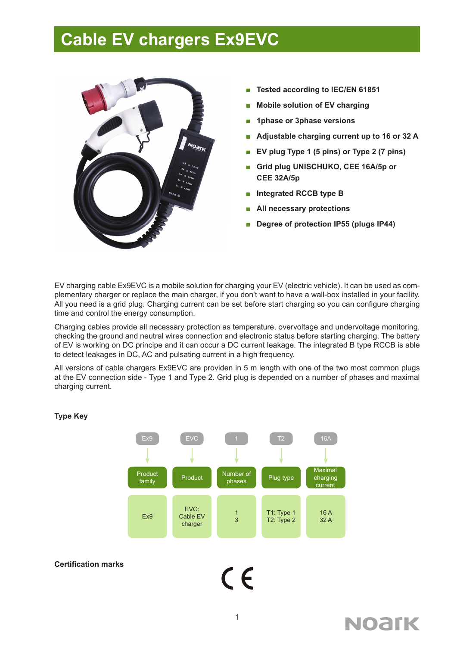### **Cable EV chargers Ex9EVC**



- **■ Tested according to IEC/EN 61851**
- **■ Mobile solution of EV charging**
- **■ 1phase or 3phase versions**
- **Adjustable charging current up to 16 or 32 A**
- **■ EV plug Type 1 (5 pins) or Type 2 (7 pins)**
- **■ Grid plug UNISCHUKO, CEE 16A/5p or CEE 32A/5p**
- **■ Integrated RCCB type B**
- **■ All necessary protections**
- **■ Degree of protection IP55 (plugs IP44)**

EV charging cable Ex9EVC is a mobile solution for charging your EV (electric vehicle). It can be used as complementary charger or replace the main charger, if you don't want to have a wall-box installed in your facility. All you need is a grid plug. Charging current can be set before start charging so you can configure charging time and control the energy consumption.

Charging cables provide all necessary protection as temperature, overvoltage and undervoltage monitoring, checking the ground and neutral wires connection and electronic status before starting charging. The battery of EV is working on DC principe and it can occur a DC current leakage. The integrated B type RCCB is able to detect leakages in DC, AC and pulsating current in a high frequency.

All versions of cable chargers Ex9EVC are providen in 5 m length with one of the two most common plugs at the EV connection side - Type 1 and Type 2. Grid plug is depended on a number of phases and maximal charging current.



#### **Type Key**

#### **Certification marks**

1

 $\epsilon$ 

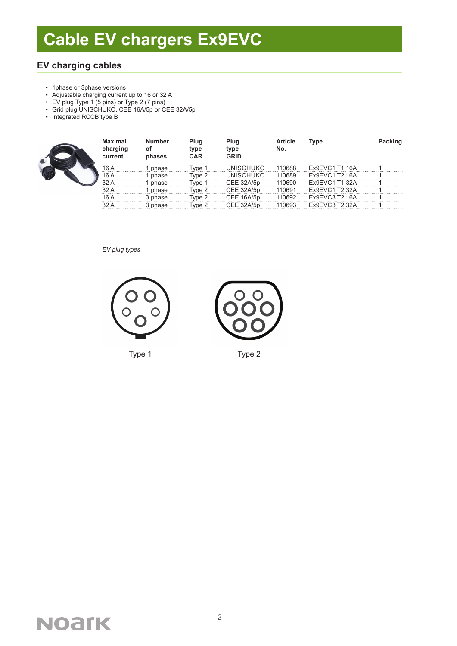### **EV charging cables**

- 1phase or 3phase versions
- Adjustable charging current up to 16 or 32 A
- EV plug Type 1 (5 pins) or Type 2 (7 pins)
- Grid plug UNISCHUKO, CEE 16A/5p or CEE 32A/5p
- Integrated RCCB type B



| <b>Maximal</b><br>charging<br>current | <b>Number</b><br>οf<br>phases | Plug<br>type<br><b>CAR</b> | Plug<br>type<br><b>GRID</b> | <b>Article</b><br>No. | Type                  | Packing |
|---------------------------------------|-------------------------------|----------------------------|-----------------------------|-----------------------|-----------------------|---------|
| 16 A                                  | phase                         | Tvpe 1                     | UNISCHUKO                   | 110688                | Ex9EVC1 T1 16A        |         |
| 16 A                                  | phase                         | Tvpe 2                     | UNISCHUKO                   | 110689                | Ex9EVC1 T2 16A        |         |
| 32 A                                  | phase                         | Tvpe 1                     | CEE 32A/5p                  | 110690                | Ex9EVC1 T1 32A        |         |
| 32 A                                  | phase                         | Tvpe 2                     | CEE 32A/5p                  | 110691                | Ex9EVC1 T2 32A        |         |
| 16 A                                  | 3 phase                       | vpe 2                      | CEE 16A/5p                  | 110692                | Ex9EVC3 T2 16A        |         |
|                                       | 3 phase                       | Tvpe 2                     | CFF 32A/5n                  | 110693                | <b>Fx9FVC3 T2 32A</b> |         |

#### *EV plug types*





Type 1 Type 2

## **NOAfK**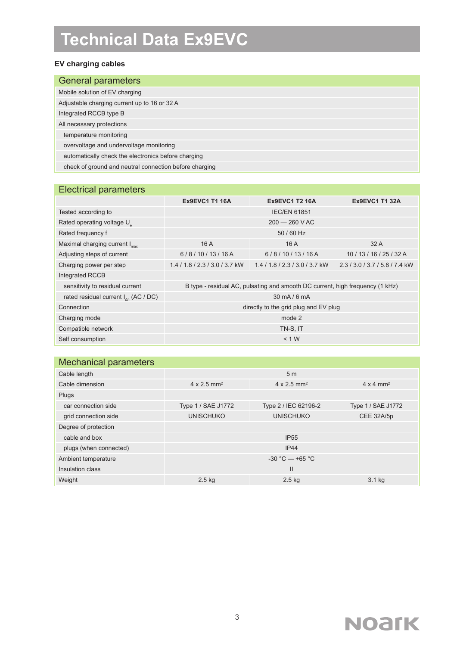## **Technical Data Ex9EVC**

#### **EV charging cables**

| <b>General parameters</b>                              |
|--------------------------------------------------------|
| Mobile solution of EV charging                         |
| Adjustable charging current up to 16 or 32 A           |
| Integrated RCCB type B                                 |
| All necessary protections                              |
| temperature monitoring                                 |
| overvoltage and undervoltage monitoring                |
| automatically check the electronics before charging    |
| check of ground and neutral connection before charging |

### Electrical parameters

|                                                  | <b>Ex9EVC1 T1 16A</b>                                                         | <b>Ex9EVC1 T2 16A</b>    | <b>Ex9EVC1 T1 32A</b>  |  |
|--------------------------------------------------|-------------------------------------------------------------------------------|--------------------------|------------------------|--|
| Tested according to                              | <b>IEC/EN 61851</b>                                                           |                          |                        |  |
| Rated operating voltage U                        | $200 - 260$ V AC                                                              |                          |                        |  |
| Rated frequency f                                | 50 / 60 Hz                                                                    |                          |                        |  |
| Maximal charging current I <sub>max</sub>        | 16A                                                                           | 16 A                     | 32A                    |  |
| Adjusting steps of current                       | 6/8/10/13/16A                                                                 | 6/8/10/13/16A            | 10/13/16/25/32A        |  |
| Charging power per step                          | $1.4/1.8/2.3/3.0/3.7$ kW                                                      | $1.4/1.8/2.3/3.0/3.7$ kW | 2.3/3.0/3.7/5.8/7.4 kW |  |
| Integrated RCCB                                  |                                                                               |                          |                        |  |
| sensitivity to residual current                  | B type - residual AC, pulsating and smooth DC current, high frequency (1 kHz) |                          |                        |  |
| rated residual current $I_{\text{an}}$ (AC / DC) | 30 mA/6 mA                                                                    |                          |                        |  |
| Connection                                       | directly to the grid plug and EV plug                                         |                          |                        |  |
| Charging mode                                    | mode 2                                                                        |                          |                        |  |
| Compatible network                               | TN-S, IT                                                                      |                          |                        |  |
| Self consumption                                 | < 1 W                                                                         |                          |                        |  |

| Cable length           | 5 <sub>m</sub>                 |                                |                              |  |  |
|------------------------|--------------------------------|--------------------------------|------------------------------|--|--|
| Cable dimension        | $4 \times 2.5$ mm <sup>2</sup> | $4 \times 2.5$ mm <sup>2</sup> | $4 \times 4$ mm <sup>2</sup> |  |  |
| Plugs                  |                                |                                |                              |  |  |
| car connection side    | Type 1 / SAE J1772             | Type 2 / IEC 62196-2           | Type 1 / SAE J1772           |  |  |
| grid connection side   | <b>UNISCHUKO</b>               | <b>UNISCHUKO</b>               | CEE 32A/5p                   |  |  |
| Degree of protection   |                                |                                |                              |  |  |
| cable and box          | <b>IP55</b>                    |                                |                              |  |  |
| plugs (when connected) | IP44                           |                                |                              |  |  |
| Ambient temperature    | $-30 °C - +65 °C$              |                                |                              |  |  |
| Insulation class       |                                | $\mathsf{II}$                  |                              |  |  |
| Weight                 | $2.5$ kg                       | $2.5$ kg                       | 3.1 kg                       |  |  |